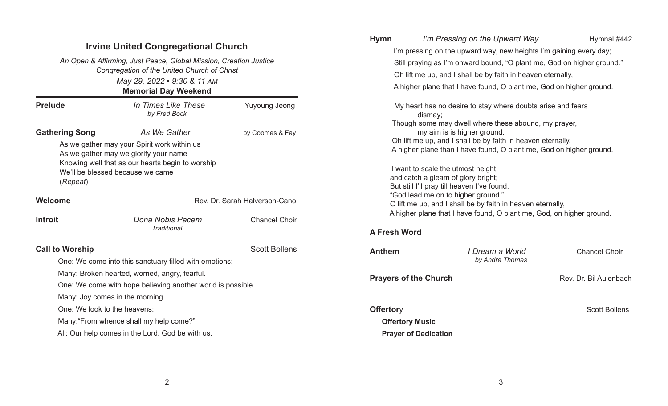| <b>Irvine United Congregational Church</b><br>An Open & Affirming, Just Peace, Global Mission, Creation Justice<br>Congregation of the United Church of Christ<br>May 29, 2022 . 9:30 & 11 AM<br><b>Memorial Day Weekend</b>                         |                                                        |                      | <b>Hymn</b>                                                                                                                                                                                                  | I'm Pressing on the Upward Way<br>I'm pressing on the upward way, new heights I'm gaining every day;                                                                                                                                                                                         | Hymnal #442            |  |
|------------------------------------------------------------------------------------------------------------------------------------------------------------------------------------------------------------------------------------------------------|--------------------------------------------------------|----------------------|--------------------------------------------------------------------------------------------------------------------------------------------------------------------------------------------------------------|----------------------------------------------------------------------------------------------------------------------------------------------------------------------------------------------------------------------------------------------------------------------------------------------|------------------------|--|
|                                                                                                                                                                                                                                                      |                                                        |                      | Still praying as I'm onward bound, "O plant me, God on higher ground."<br>Oh lift me up, and I shall be by faith in heaven eternally,<br>A higher plane that I have found, O plant me, God on higher ground. |                                                                                                                                                                                                                                                                                              |                        |  |
| <b>Prelude</b>                                                                                                                                                                                                                                       | In Times Like These<br>by Fred Bock                    | <b>Yuyoung Jeong</b> | My heart has no desire to stay where doubts arise and fears<br>dismay;<br>Though some may dwell where these abound, my prayer,                                                                               |                                                                                                                                                                                                                                                                                              |                        |  |
| <b>Gathering Song</b><br>As We Gather<br>by Coomes & Fay<br>As we gather may your Spirit work within us<br>As we gather may we glorify your name<br>Knowing well that as our hearts begin to worship<br>We'll be blessed because we came<br>(Repeat) |                                                        |                      |                                                                                                                                                                                                              | my aim is is higher ground.<br>Oh lift me up, and I shall be by faith in heaven eternally,<br>A higher plane than I have found, O plant me, God on higher ground.<br>I want to scale the utmost height;<br>and catch a gleam of glory bright;<br>But still I'll pray till heaven I've found, |                        |  |
| Welcome                                                                                                                                                                                                                                              | Rev. Dr. Sarah Halverson-Cano                          |                      | "God lead me on to higher ground."<br>O lift me up, and I shall be by faith in heaven eternally,                                                                                                             |                                                                                                                                                                                                                                                                                              |                        |  |
| <b>Introit</b>                                                                                                                                                                                                                                       | Dona Nobis Pacem<br><b>Traditional</b>                 | <b>Chancel Choir</b> | A higher plane that I have found, O plant me, God, on higher ground.<br><b>A Fresh Word</b>                                                                                                                  |                                                                                                                                                                                                                                                                                              |                        |  |
| <b>Call to Worship</b>                                                                                                                                                                                                                               | One: We come into this sanctuary filled with emotions: | <b>Scott Bollens</b> | <b>Anthem</b>                                                                                                                                                                                                | I Dream a World<br>by Andre Thomas                                                                                                                                                                                                                                                           | <b>Chancel Choir</b>   |  |
| Many: Broken hearted, worried, angry, fearful.<br>One: We come with hope believing another world is possible.<br>Many: Joy comes in the morning.                                                                                                     |                                                        |                      |                                                                                                                                                                                                              | <b>Prayers of the Church</b>                                                                                                                                                                                                                                                                 | Rev. Dr. Bil Aulenbach |  |
| One: We look to the heavens:<br>Many: "From whence shall my help come?"                                                                                                                                                                              |                                                        |                      | <b>Offertory</b>                                                                                                                                                                                             | <b>Offertory Music</b>                                                                                                                                                                                                                                                                       | <b>Scott Bollens</b>   |  |
| All: Our help comes in the Lord. God be with us.                                                                                                                                                                                                     |                                                        |                      | <b>Prayer of Dedication</b>                                                                                                                                                                                  |                                                                                                                                                                                                                                                                                              |                        |  |